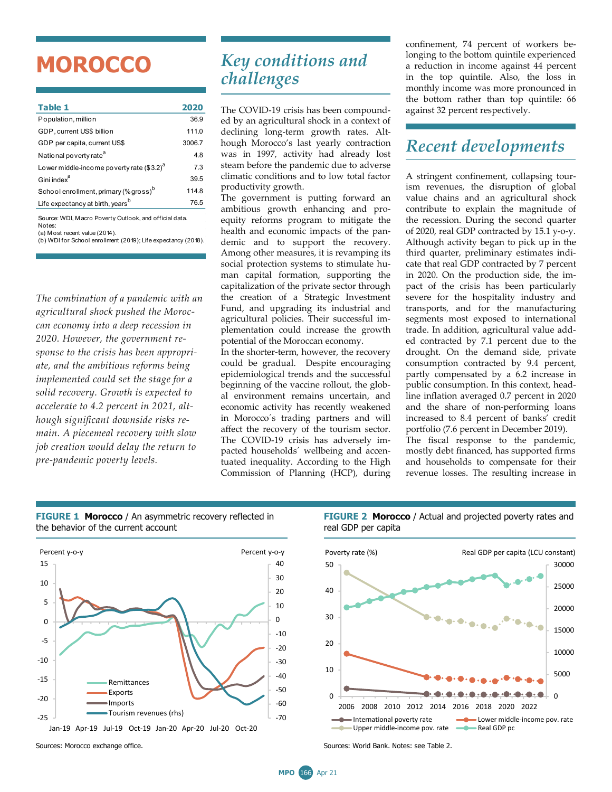## **MOROCCO**

| Table 1                                           | 2020   |
|---------------------------------------------------|--------|
| Population, million                               | 36.9   |
| GDP, current US\$ billion                         | 111.0  |
| GDP per capita, current US\$                      | 3006.7 |
| National poverty rate <sup>a</sup>                | 4.8    |
| Lower middle-income poverty rate $(3.2)^d$        | 7.3    |
| Gini index <sup>a</sup>                           | 39.5   |
| School enrollment, primary (% gross) <sup>b</sup> | 114.8  |
| Life expectancy at birth, years <sup>b</sup>      | 76.5   |
|                                                   |        |

(a) M ost recent value (2014). Source: WDI, M acro Poverty Outlook, and official data. Notes:

(b) WDI for School enrollment (2019); Life expectancy (2018).

*The combination of a pandemic with an agricultural shock pushed the Moroccan economy into a deep recession in 2020. However, the government response to the crisis has been appropriate, and the ambitious reforms being implemented could set the stage for a solid recovery. Growth is expected to accelerate to 4.2 percent in 2021, although significant downside risks remain. A piecemeal recovery with slow job creation would delay the return to pre-pandemic poverty levels.* 

## *Key conditions and challenges*

The COVID-19 crisis has been compounded by an agricultural shock in a context of declining long-term growth rates. Although Morocco's last yearly contraction was in 1997, activity had already lost steam before the pandemic due to adverse climatic conditions and to low total factor productivity growth.

The government is putting forward an ambitious growth enhancing and proequity reforms program to mitigate the health and economic impacts of the pandemic and to support the recovery. Among other measures, it is revamping its social protection systems to stimulate human capital formation, supporting the capitalization of the private sector through the creation of a Strategic Investment Fund, and upgrading its industrial and agricultural policies. Their successful implementation could increase the growth potential of the Moroccan economy.

In the shorter-term, however, the recovery could be gradual. Despite encouraging epidemiological trends and the successful beginning of the vaccine rollout, the global environment remains uncertain, and economic activity has recently weakened in Morocco´s trading partners and will affect the recovery of the tourism sector. The COVID-19 crisis has adversely impacted households´ wellbeing and accentuated inequality. According to the High Commission of Planning (HCP), during confinement, 74 percent of workers belonging to the bottom quintile experienced a reduction in income against 44 percent in the top quintile. Also, the loss in monthly income was more pronounced in the bottom rather than top quintile: 66 against 32 percent respectively.

## *Recent developments*

A stringent confinement, collapsing tourism revenues, the disruption of global value chains and an agricultural shock contribute to explain the magnitude of the recession. During the second quarter of 2020, real GDP contracted by 15.1 y-o-y. Although activity began to pick up in the third quarter, preliminary estimates indicate that real GDP contracted by 7 percent in 2020. On the production side, the impact of the crisis has been particularly severe for the hospitality industry and transports, and for the manufacturing segments most exposed to international trade. In addition, agricultural value added contracted by 7.1 percent due to the drought. On the demand side, private consumption contracted by 9.4 percent, partly compensated by a 6.2 increase in public consumption. In this context, headline inflation averaged 0.7 percent in 2020 and the share of non-performing loans increased to 8.4 percent of banks' credit portfolio (7.6 percent in December 2019). The fiscal response to the pandemic, mostly debt financed, has supported firms

and households to compensate for their revenue losses. The resulting increase in



**FIGURE 1 Morocco** / An asymmetric recovery reflected in the behavior of the current account

**FIGURE 2 Morocco** / Actual and projected poverty rates and real GDP per capita